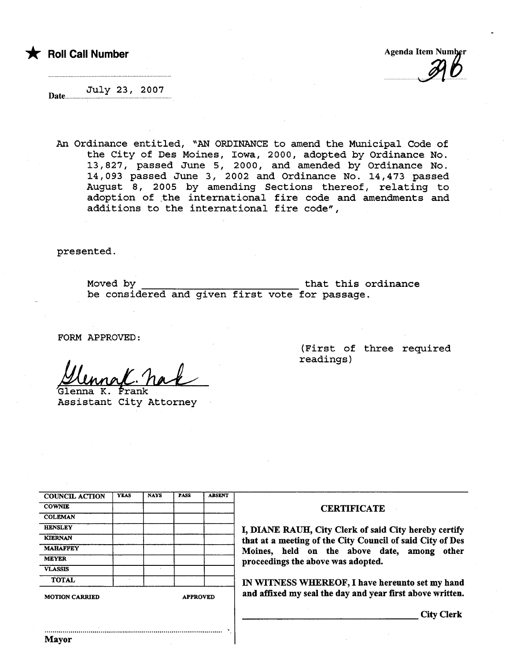

 $\mathcal{I}$ 

July 23, 2007 Date..

An Ordinance entitled, "AN ORDINANCE to amend the Municipal Code of the City of Des Moines, Iowa, 2000, adopted by Ordinance No. 13,827, passed June 5, 2000, and amended by Ordinance No. 14,093 passed June 3, 2002 and Ordinance No. 14,473 passed August 8, 2005 by amending Sections thereof, relating to adoption of the international fire code and amendments and additions to the international fire code",

presented.

Moved by that this ordinance be considered and given first vote for passage.

.

FORM APPROVED:

<u>Munner (C. Nack</u><br>Glenna K. Frank<br>Assistant City Attorney

nna K. Frank

(First of three required readings)

| <b>COUNCIL ACTION</b> | <b>YEAS</b>     | <b>NAYS</b> | <b>PASS</b> | <b>ABSENT</b> |  |
|-----------------------|-----------------|-------------|-------------|---------------|--|
| <b>COWNIE</b>         |                 |             |             |               |  |
| <b>COLEMAN</b>        |                 |             |             |               |  |
| <b>HENSLEY</b>        |                 |             |             |               |  |
| <b>KIERNAN</b>        |                 |             |             |               |  |
| <b>MAHAFFEY</b>       |                 |             |             |               |  |
| <b>MEYER</b>          |                 |             |             |               |  |
| <b>VLASSIS</b>        |                 |             |             |               |  |
| <b>TOTAL</b>          | ٠               |             |             |               |  |
| <b>MOTION CARRIED</b> | <b>APPROVED</b> |             |             |               |  |

#### **CERTIFICATE**

I, DIANE RAUH, City Clerk of said City hereby certify that at a meeting of the City Council of said City of Des<br>Moines, held on the above date, among other proceedings the above was adopted.

IN WITNESS WHEREOF, I have hereunto set my hand and affixed my seal the day and year first above written.

City Clerk

..........................................................................................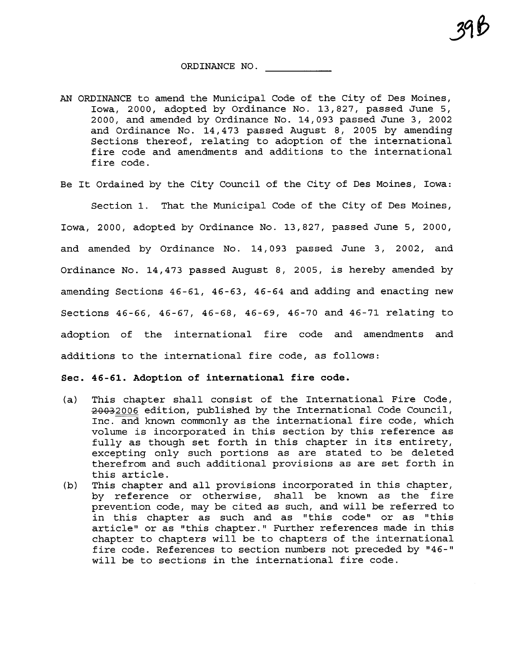ORDINANCE NO.

- AN ORDINANCE to amend the Municipal Code of the City of Des Moines, Iowa, 2000, adopted by Ordinance No. 13,827, passed June 5, 2000, and amended by Ordinance No. 14,093 passed June 3, 2002 and Ordinance No. 14,473 passed August 8, 2005 by amending Sections thereof, relating to adoption of the international fire code and amendments and additions to the international fire code.
- Be It Ordained by the City Council of the City of Des Moines, Iowa:

Section 1. That the Municipal Code of the City of Des Moines, Iowa, 2000, adopted by Ordinance No. 13,827, passed June 5, 2000, and amended by Ordinance No. 14,093 passed June 3, 2002, and Ordinance No. 14,473 passed August 8, 2005, is hereby amended by amending Sections 46-61, 46-63, 46-64 and adding and enacting new Sections 46-66, 46-67, 46-68, 46-69, 46-70 and 46-71 relating to adoption of the international fire code and amendments and additions to the international fire code, as follows:

#### Sec. 46-61. Adoption of international fire code.

- (a) This chapter shall consist of the International Fire Code,<br>2006 edition, published by the International Code Council, Inc. and known commonly as the international fire code, which volume is incorporated in this section by this reference as fully as though set forth in this chapter in its entirety, excepting only such portions as are stated to be deleted therefrom and such additional provisions as are set forth in this article.
- (b) This chapter and all provisions incorporated in this chapter, by reference or otherwise, shall be known as the fire prevention code, may be cited as such, and will be referred to in this chapter as such and as "this code" or as "this article" or as "this chapter." Further references made in this chapter to chapters will be to chapters of the international fire code. References to section numbers not preceded by "46-" will be to sections in the international fire code.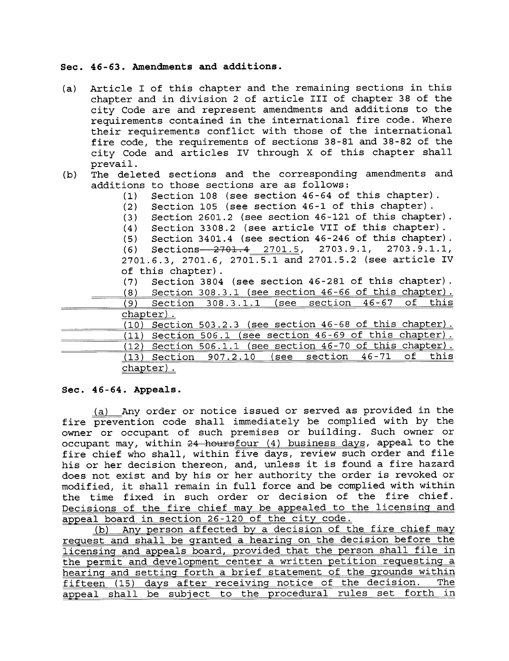#### Sec. 46-63. Amendments and additions.

- (a) Article I of this chapter and the remaining sections in this chapter and in division 2 of article III of chapter 38 of the city Code are and represent amendments and additions to the requirements contained in the international fire code. Where their requirements conflict with those of the international fire code, the requirements of sections 38-81 and 38-82 of the city Code and articles iv through X of this chapter shall prevail.
- (b) The deleted sections and the corresponding amendments and additions to those sections are as follows:
	-
	- (1) Section 108 (see section  $46-64$  of this chapter).<br>(2) Section 105 (see section  $46-1$  of this chapter).
	- (2) Section 105 (see section 46-1 of this chapter).<br>(3) Section 2601.2 (see section 46-121 of this chapte (3) Section 2601.2 (see section 46-121 of this chapter).<br>(4) Section 3308.2 (see article VII of this chapter).
	- (4) Section 3308.2 (see article VIi of this chapter) .

(5) Section 3401.4 (see section 46-246 of this chapter).<br>(6) Sections 2701.4 2701.5, 2703.9.1, 2703.9.1.1,

Sections 2701.4 2701.5, 2703.9.1, 2701.6.3, 2701.6, 2701.5.1 and 2701.5.2 (see article iV of this chapter).

(7) Section 3804 (see section 46-281 of this chapter).<br>(8) Section 308 3 1 (see section 46-66 of this chapter).

Section 308.3.1 (see section  $46-66$  of this chapter).

|                   | .<br>__                    | --------             | ___      |                           | __________    |     | ________ |            |
|-------------------|----------------------------|----------------------|----------|---------------------------|---------------|-----|----------|------------|
|                   | $\sim$<br>w                | --------<br>.<br>. . |          | ~<br>$\sim$<br>---------- | ັ             | --- | -        | --<br>$-1$ |
| <b>CONTRACTOR</b> | ________<br>$\sim$<br>____ | ___________          | -------- |                           | ------------- |     |          |            |

|  | Section 503.2.3 (see section 46-68 of this chapter).    |  |  |  |  |
|--|---------------------------------------------------------|--|--|--|--|
|  |                                                         |  |  |  |  |
|  | (11) Section 506.1 (see section 46-69 of this chapter). |  |  |  |  |
|  | Section 506.1.1 (see section 46-70 of this chapter).    |  |  |  |  |
|  | $(13)$ Section $907.2.10$ (see section $46-71$ of       |  |  |  |  |
|  | <u>chapter).</u>                                        |  |  |  |  |

#### Sec. 46-64. Appeals.

(a) Any order or notice issued or served as provided in the fire prevention code shall immediately be complied with by the owner or occupant of such premises or building. Such owner or occupant may, within  $24$  hoursfour (4) business days, appeal to the fire chief who shall, within five days, review such order and file his or her decision thereon, and, unless it is found a fire hazard does not exist and by his or her authority the order is revoked or modified, it shall remain in full force and be complied with within the time fixed in such order or decision of the fire chief. Decisions of the fire chief may be appealed to the licensing and appeal board in section 26-120 of the city code.

(b) Any person affected by a decision of the fire chief may request and shall be granted a hearing on the decision before the licensing and appeals board, provided that the person shall file in the permit and development center a written petition requesting a hearing and setting forth a brief statement of the grounds within<br>fifteen (15) days after receiving notice of the decision. The fifteen (15) days after receiving notice of the decision. appeal shall be subject to the procedural rules set forth in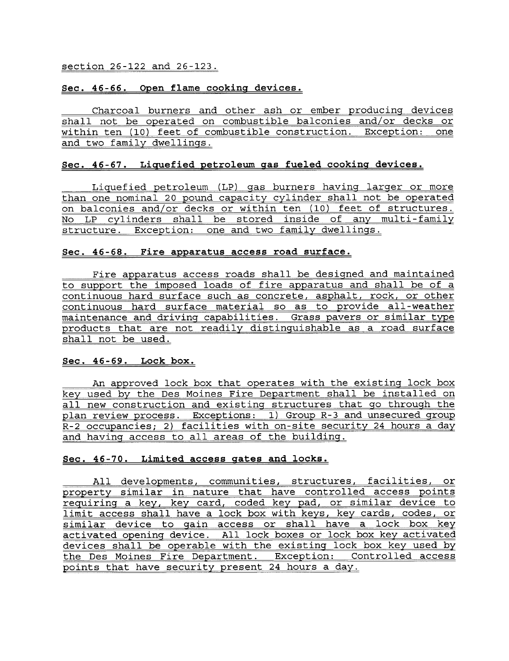#### section 26-122 and 26-123.

### Sec. 46-66. Open flame cookinq devices.

Charcoal burners and other ash or ember producing devices shall not be operated on combustible balconies and/or decks or within ten (10) feet of combustible construction. Exception: one and two family dwellings.

### Sec. 46-67. Liquefied petroleum qas fueled cookinq devices.

Liquefied petroleum (LP) gas burners having larger or more than one nominal 20 pound capacity cylinder shall not be operated<br>on balconies and/or decks or within ten (10) feet of structures. No LP cylinders shall be stored inside of any multi-family structure. Exception: one and two family dwellings.

#### Sec. 46-68. Fire apparatus access road surface.

Fire apparatus access roads shall be designed and maintained to support the imposed loads of fire apparatus and shall be of a continuous hard surface such as concrete, asphalt, rock, or other continuous hard surface material so as to provide all-weather maintenance and driving capabilities. Grass pavers or similar type products that are not readily distinguishable as a road surface shall not be used.

## Sec. 46-69. Lock box.

An approved lock box that operates with the existing lock box key used by the Des Moines Fire Department shall be installed on all new construction and existing structures that go through the plan review process. Exceptions: 1) Group R-3 and unsecured group R-2 occupancies; 2) facilities with on-site security 24 hours a day and having access to all areas of the building.

# Sec. 46-70. Limited access qates and locks.

All developments, communities, structures, facilities, or property similar in nature that have controlled access points requiring a key, key card, coded key pad, or similar device to limit access shall have a lock box with keys, key cards, codes, or similar device to gain access or shall have a lock box key activated opening device. All lock boxes or lock box key activated devices shall be operable with the existing lock box key used by the Des Moines Fire Department. Exception: Controlled access points that have security present 24 hours a day.